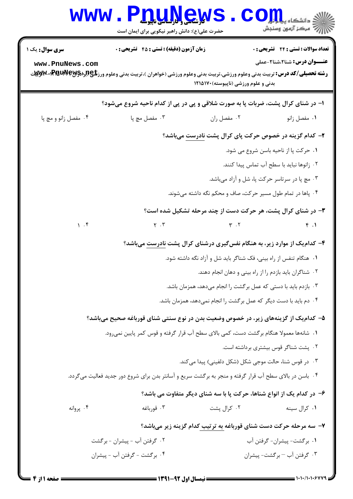|                                           | <b>74 شاھى بىلى بىلى بىلى بىلى</b><br>حضرت علی(ع): دانش راهبر نیکویی برای ایمان است                                                                                                             |                                                                                      | دانشگاه ی <b>یا ب</b> ا<br>رُ⁄ کرڪز آزمون وسنڊش                              |
|-------------------------------------------|-------------------------------------------------------------------------------------------------------------------------------------------------------------------------------------------------|--------------------------------------------------------------------------------------|------------------------------------------------------------------------------|
| <b>سری سوال :</b> یک ۱<br>www.PnuNews.com | <b>زمان آزمون (دقیقه) : تستی : 45 گشریحی : 0</b><br><b>رشته تحصیلی/کد درس:</b> تربیت بدنی وعلوم ورزشی،تربیت بدنی وعلوم ورزشی (خواهران )،تربیت بدنی وعلوم ورز <b>شگی(لېلاپالېلې-PRUN)،-Wy</b> yy | بدنی و علوم ورزشی (ناپیوسته) ۱۲۱۵۱۷۰                                                 | تعداد سوالات : تستي : 24 - تشريحي : 0<br><b>عنـــوان درس:</b> شنا2،شنا2-عملی |
|                                           | ۱- در شنای کرال پشت، ضربات پا به صورت شلاقی و پی در پی از کدام ناحیه شروع میشود؟                                                                                                                |                                                                                      |                                                                              |
| ۰۴ مفصل زانو و مچ پا                      | فعسل مچ پا $\cdot$ ۳ .                                                                                                                                                                          | ۰۲ مفصل ران                                                                          | ٠١ مفصل زانو                                                                 |
|                                           |                                                                                                                                                                                                 | ۲- کدام گزینه در خصوص حرکت پای کرال پشت نادرست میباشد؟                               |                                                                              |
|                                           |                                                                                                                                                                                                 |                                                                                      | ٠١ حركت پا از ناحيه باسن شروع مي شود.                                        |
|                                           |                                                                                                                                                                                                 |                                                                                      | ٠٢ زانوها نبايد با سطح آب تماس پيدا كنند.                                    |
|                                           |                                                                                                                                                                                                 |                                                                                      | ۰۳ مچ پا در سرتاسر حرکت پا، شل و آزاد میباشد.                                |
|                                           |                                                                                                                                                                                                 | ۰۴ پاها در تمام طول مسیر حرکت، صاف و محکم نگه داشته میشوند.                          |                                                                              |
|                                           |                                                                                                                                                                                                 | ۳- در شنای کرال پشت، هر حرکت دست از چند مرحله تشکیل شده است؟                         |                                                                              |
| 1.5                                       | $\Upsilon$ . $\Upsilon$                                                                                                                                                                         | $\Upsilon$ . $\Upsilon$                                                              | f.1                                                                          |
|                                           |                                                                                                                                                                                                 | ۴- کدام یک از موارد زیر، به هنگام نفس گیری درشنای کرال پشت نادرست میباشد؟            |                                                                              |
|                                           |                                                                                                                                                                                                 | ۰۱ هنگام تنفس از راه بینی، فک شناگر باید شل و آزاد نگه داشته شود.                    |                                                                              |
|                                           |                                                                                                                                                                                                 | ۰۲ شناگران باید بازدم را از راه بینی و دهان انجام دهند.                              |                                                                              |
|                                           |                                                                                                                                                                                                 | ۰۳ بازدم باید با دستی که عمل برگشت را انجام میدهد، همزمان باشد.                      |                                                                              |
|                                           |                                                                                                                                                                                                 | ۰۴ دم باید با دست دیگر که عمل برگشت را انجام نمیدهد، همزمان باشد.                    |                                                                              |
|                                           | ۵– کدام یک از گزینههای زیر، در خصوص وضعیت بدن در نوع سنتی شنای قورباغه صحیح میباشد؟                                                                                                             |                                                                                      |                                                                              |
|                                           | ١.  شانهها معمولا هنگام برگشت دست، كمي بالاي سطح آب قرار گرفته و قوس كمر پايين نمي,رود.                                                                                                         |                                                                                      |                                                                              |
|                                           |                                                                                                                                                                                                 |                                                                                      | ۰۲ پشت شناگر قوس بیشتری برداشته است.                                         |
|                                           |                                                                                                                                                                                                 | ۰۳ در قوس شنا، حالت موجی شکل (شکل دلفینی) پیدا میکند.                                |                                                                              |
|                                           | ۰۴ باسن در بالای سطح آب قرار گرفته و منجر به برگشت سریع و آسانتر بدن برای شروع دور جدید فعالیت میگردد.                                                                                          |                                                                                      |                                                                              |
|                                           |                                                                                                                                                                                                 | ۶– در کدام یک از انواع شناها، حرکت پا با سه شنای دیگر متفاوت می باشد؟                |                                                                              |
| ۰۴ پروانه                                 | ۰۳ قورباغه                                                                                                                                                                                      | ۰۲ کرال پشت                                                                          | ۰۱ کرال سينه                                                                 |
|                                           |                                                                                                                                                                                                 | ۷- سه مرحله حرکت دست شنای قورباغه به ترتیب کدام گزینه زیر میباشد؟                    |                                                                              |
|                                           | ۰۲ گرفتن آب - پیشران - برگشت                                                                                                                                                                    |                                                                                      | ٠١ برگشت- پيشران- گرفتن آب                                                   |
|                                           | ۰۴ برگشت - گرفتن آب - پیشران                                                                                                                                                                    |                                                                                      | ۰۳ گرفتن آب – برگشت- پیشران                                                  |
|                                           |                                                                                                                                                                                                 | $=$ 1404 for the set of $\overline{a}$ is $\overline{a}$ . The set of $\overline{a}$ | = 1+1+/1+1+6779                                                              |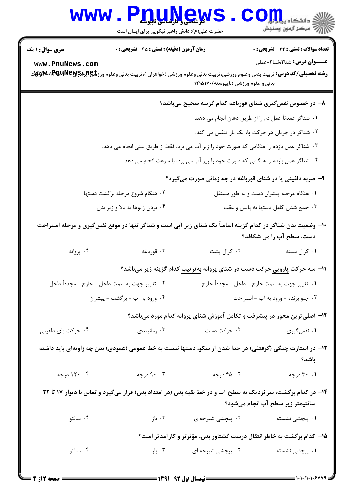## Www.PnuMews.Com

حضرت علی(ع): دانش راهبر نیکویی برای ایمان است

| <b>سری سوال : ۱ یک</b>                                                                    | زمان آزمون (دقیقه) : تستی : ۴۵ قشریحی : 0                                                                                                   |                                                                                  | <b>تعداد سوالات : تستی : 24 گشریحی : 0</b>                                              |  |
|-------------------------------------------------------------------------------------------|---------------------------------------------------------------------------------------------------------------------------------------------|----------------------------------------------------------------------------------|-----------------------------------------------------------------------------------------|--|
| www.PnuNews.com                                                                           |                                                                                                                                             |                                                                                  | <b>عنـــوان درس:</b> شنا۲،شنا۲-عملی                                                     |  |
|                                                                                           | <b>رشته تحصیلی/کد درس:</b> تربیت بدنی وعلوم ورزشی،تربیت بدنی وعلوم ورزشی (خواهران )،تربیت بدنی وعلوم ورز <b>شگی(لبرادPMUPW-۱PM)،کلابلیت</b> | بدنی و علوم ورزشی (ناپیوسته)۱۲۱۵۱۷۰                                              |                                                                                         |  |
|                                                                                           |                                                                                                                                             |                                                                                  | ۸– در خصوص نفسگیری شنای قورباغه کدام گزینه صحیح میباشد؟                                 |  |
|                                                                                           |                                                                                                                                             |                                                                                  | ١. شناگر عمدتاً عمل دم را از طريق دهان انجام مي دهد.                                    |  |
|                                                                                           |                                                                                                                                             |                                                                                  | ۰۲ شناگر در جریان هر حرکت پا، یک بار تنفس می کند.                                       |  |
| ۰۳ شناگر عمل بازدم را هنگامی که صورت خود را زیر آب می برد، فقط از طریق بینی انجام می دهد. |                                                                                                                                             |                                                                                  |                                                                                         |  |
|                                                                                           |                                                                                                                                             | ۰۴ شناگر عمل بازدم را هنگامی که صورت خود را زیر آب می برد، با سرعت انجام می دهد. |                                                                                         |  |
|                                                                                           |                                                                                                                                             |                                                                                  | ۹- ضربه دلفینی پا در شنای قورباغه در چه زمانی صورت میگیرد؟                              |  |
|                                                                                           | ۰۲ هنگام شروع مرحله برگشت دستها                                                                                                             |                                                                                  | ۰۱ هنگام مرحله پیشران دست و به طور مستقل                                                |  |
|                                                                                           | ۰۴ بردن زانوها به بالا و زير بدن                                                                                                            |                                                                                  | ۰۳ جمع شدن کامل دستها به پایین و عقب                                                    |  |
|                                                                                           | +ا– وضعیت بدن شناگر در کدام گزینه اساساً یک شنای زیر آبی است و شناگر تنها در موقع نفس5یری و مرحله استراحت                                   |                                                                                  | دست، سطح آب را می شکافد؟                                                                |  |
| ۰۴ پروانه                                                                                 | ۰۳ قورباغه                                                                                                                                  | ۰۲ کرال پشت                                                                      | ۰۱ کرال سينه                                                                            |  |
|                                                                                           |                                                                                                                                             |                                                                                  | ۱۱− سه حرکت <u>پارویی</u> حرکت دست در شنای پروانه <u>بهترتیب</u> کدام گزینه زیر میباشد؟ |  |
|                                                                                           | ۰۲ تغییر جهت به سمت داخل - خارج - مجدداً داخل                                                                                               |                                                                                  | ١.  تغيير جهت به سمت خارج - داخل - مجدداً خارج                                          |  |
|                                                                                           | ۰۴ ورود به آب - برگشت - پیشران                                                                                                              |                                                                                  | ۰۳ جلو برنده - ورود به آب - استراحت                                                     |  |
| ۱۲- اصلیترین محور در پیشرفت و تکامل آموزش شنای پروانه کدام مورد میباشد؟                   |                                                                                                                                             |                                                                                  |                                                                                         |  |
| ۰۴ حرکت پای دلفینی                                                                        | ۰۳ زمانبندی                                                                                                                                 | ۲. حرکت دست                                                                      | ۰۱ نفس گیری                                                                             |  |
|                                                                                           | ۱۳– در استارت چنگی (گرفتنی) در جدا شدن از سکو، دستها نسبت به خط عمومی (عمودی) بدن چه زاویهای باید داشته                                     |                                                                                  | باشد؟                                                                                   |  |
| ۰۴ ۱۲۰ درجه                                                                               | ۹۰ ۹۰ درجه                                                                                                                                  | ۰۲ درجه                                                                          | ۰۱ ۳۰ درجه                                                                              |  |
|                                                                                           | ۱۴– در کدام برگشت، سر نزدیک به سطح آب و در خط بقیه بدن (در امتداد بدن) قرار میگیرد و تماس با دیوار ۱۷ تا ۲۲                                 |                                                                                  | سانتیمتر زیر سطح آب انجام میشود؟                                                        |  |
| ۰۴ سالتو                                                                                  |                                                                                                                                             |                                                                                  | ۰۱ پیچش <sub>ی</sub> نشسته                                                              |  |
|                                                                                           |                                                                                                                                             |                                                                                  | ۱۵– کدام برگشت به خاطر انتقال درست گشتاور بدن، مؤثرتر و کارآمدتر است؟                   |  |
| ۰۴ سالتو                                                                                  | ۰۳ باز $\cdot$                                                                                                                              | ۰۲ پیچشی شیرجه ای                                                                | ۰۱ پیچشی نشسته                                                                          |  |
|                                                                                           |                                                                                                                                             |                                                                                  |                                                                                         |  |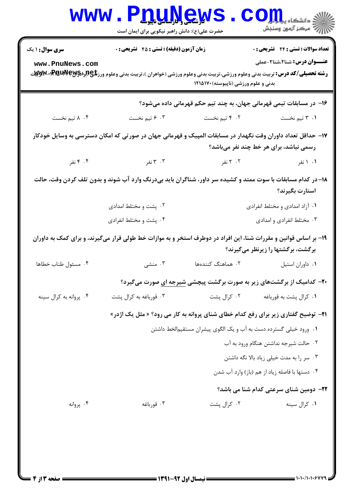| <b>WWW</b>                                                                                                                                            | <b>TILLY SAY TO</b><br>حضرت علی(ع): دانش راهبر نیکویی برای ایمان است                                                                                                                     |                                                                  | دانشڪاه پ <b>ايلياباني</b><br>أأآت مركز آزمون وسنجش                               |  |  |
|-------------------------------------------------------------------------------------------------------------------------------------------------------|------------------------------------------------------------------------------------------------------------------------------------------------------------------------------------------|------------------------------------------------------------------|-----------------------------------------------------------------------------------|--|--|
| <b>سری سوال : ۱ یک</b><br>www.PnuNews.com                                                                                                             | زمان آزمون (دقیقه) : تستی : 45 آتشریحی : 0<br><b>رشته تحصیلی/کد درس:</b> تربیت بدنی وعلوم ورزشی،تربیت بدنی وعلوم ورزشی (خواهران )،تربیت بدنی وعلوم ورز <b>شگی(لبرادPMUPW-۱PM)«W</b> y می | بدنی و علوم ورزشی (ناپیوسته) ۱۲۱۵۱۷۰                             | <b>تعداد سوالات : تستی : 24 گشریحی : 0</b><br><b>عنـــوان درس:</b> شنا2،شنا2-عملی |  |  |
|                                                                                                                                                       |                                                                                                                                                                                          |                                                                  | ۱۶– در مسابقات تیمی قهرمانی جهان، به چند تیم حکم قهرمانی داده میشود؟              |  |  |
| ۸ ۰۴ تیم نخست                                                                                                                                         | ۰۳ و تیم نخست                                                                                                                                                                            | ۰۲ ۳ تیم نخست                                                    | ۰۱ ۳ تیم نخست                                                                     |  |  |
| ۱۷– حداقل تعداد داوران وقت نگهدار در مسابقات المپیک و قهرمانی جهان در صورتی که امکان دسترسی به وسایل خودکار<br>رسمی نباشد، برای هر خط چند نفر میباشد؟ |                                                                                                                                                                                          |                                                                  |                                                                                   |  |  |
|                                                                                                                                                       | ۰۳ نفر (۲۰۰۴ نفر                                                                                                                                                                         | ۲. ۲ نفر                                                         | ۰۱ نفر                                                                            |  |  |
|                                                                                                                                                       | ۱۸–در کدام مسابقات با سوت ممتد و کشیده سر داور، شناگران باید بیدرنگ وارد آب شوند و بدون تلف کردن وقت، حالت                                                                               |                                                                  | استارت بگيرند؟                                                                    |  |  |
|                                                                                                                                                       | ۰۲ پشت و مختلط امدادی                                                                                                                                                                    | ۰۱ آزاد امدادی و مختلط انفرادی                                   |                                                                                   |  |  |
|                                                                                                                                                       | ۰۴ پشت و مختلط انفرادی                                                                                                                                                                   | ۰۳ مختلط انفرادی و امدادی                                        |                                                                                   |  |  |
| ۱۹- بر اساس قوانین و مقررات شنا، این افراد در دوطرف استخر و به موازات خط طولی قرار میگیرند، و برای کمک به داوران<br>برگشت، برگشتها را زیرنظر میگیرند؟ |                                                                                                                                                                                          |                                                                  |                                                                                   |  |  |
| ۰۴ مسئول طناب خطاها                                                                                                                                   | ۰۳ منشی                                                                                                                                                                                  | ۰۲ هماهنگ کنندهها                                                | ٠١ داوران استيل                                                                   |  |  |
|                                                                                                                                                       | ۲۰- کدامیک از برگشتهای زیر به صورت برگشت پیچشی شیرجه ای صورت میگیرد؟                                                                                                                     |                                                                  |                                                                                   |  |  |
| ۰۴ پروانه به کرال سینه                                                                                                                                | ۰۳ قورباغه به کرال پشت                                                                                                                                                                   | ۰۲ کرال پشت                                                      | ۰۱ کرال پشت به قورباغه                                                            |  |  |
|                                                                                                                                                       | <b>۲۱</b> - توضیح گفتاری زیر برای رفع کدام خطای شنای پروانه به کار می رود؟ « مثل یک اژدر»                                                                                                |                                                                  |                                                                                   |  |  |
|                                                                                                                                                       |                                                                                                                                                                                          | ۰۱ ورود خیلی گسترده دست به آب و یک الگوی پیشران مستقیم لخط داشتن |                                                                                   |  |  |
|                                                                                                                                                       | ۰۲ حالت شیرجه نداشتن هنگام ورود به آب                                                                                                                                                    |                                                                  |                                                                                   |  |  |
|                                                                                                                                                       |                                                                                                                                                                                          |                                                                  | ۰۳ سر را به مدت خیلی زیاد بالا نگه داشتن                                          |  |  |
|                                                                                                                                                       |                                                                                                                                                                                          |                                                                  | ۰۴ دستها با فاصله زياد از هم (باز) وارد آب شدن                                    |  |  |
|                                                                                                                                                       |                                                                                                                                                                                          |                                                                  | <b>۲۲</b> - دومین شنای سرعتی کدام شنا می باشد؟                                    |  |  |
| ۰۴ پروانه                                                                                                                                             | ۰۳ قورباغه                                                                                                                                                                               | ۰۲ کرال پشت                                                      | ۰۱ کرال سينه                                                                      |  |  |
|                                                                                                                                                       |                                                                                                                                                                                          |                                                                  |                                                                                   |  |  |